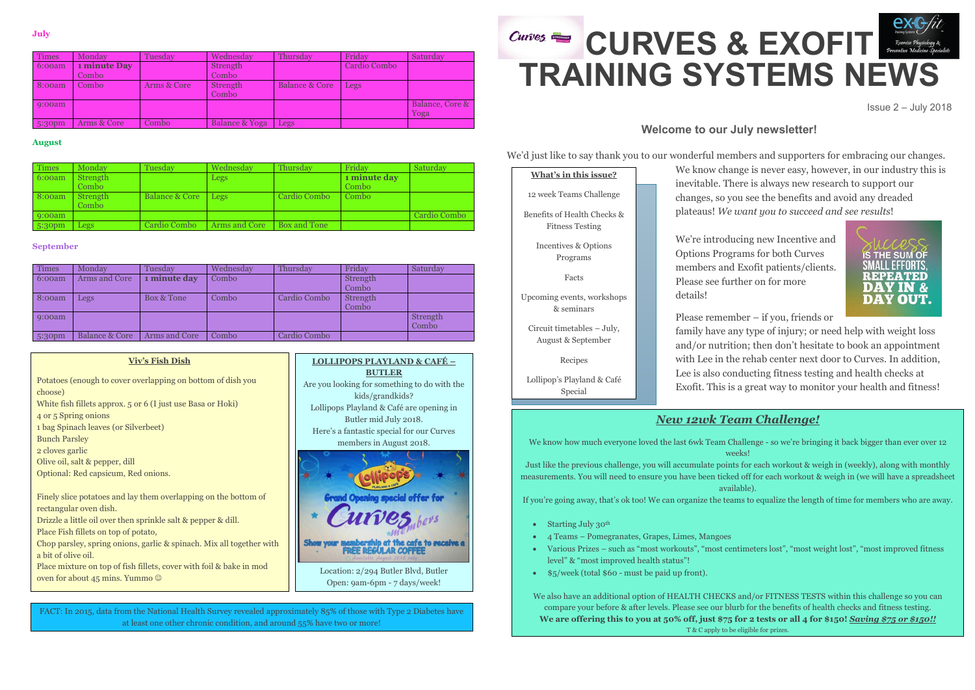**LOLLIPOPS PLAYLAND & CAFÉ – BUTLER** Are you looking for something to do with the kids/grandkids?



# **CURVES & EXOFIT Exercise Physiology & Proventive Medicine TRAINING SYSTEMS NEWS**

Lollipops Playland & Café are opening in Butler mid July 2018. Here's a fantastic special for our Curves members in August 2018. Location: 2/294 Butler Blvd, Butler

Open: 9am-6pm - 7 days/week!

**July**

#### **August**

#### **September**

Issue 2 – July 2018

# **Welcome to our July newsletter!**

We're introducing new Incentive and Options Programs for both Curves members and Exofit patients/clients. Please see further on for more



details!

Please remember – if you, friends or

family have any type of injury; or need help with weight loss and/or nutrition; then don't hesitate to book an appointment with Lee in the rehab center next door to Curves. In addition, Lee is also conducting fitness testing and health checks at Exofit. This is a great way to monitor your health and fitness!

| <b>Times</b>       | Monday       | Tuesday     | Wednesday      | Thursday       | Friday       | Saturday        |
|--------------------|--------------|-------------|----------------|----------------|--------------|-----------------|
| 6:00am             | 1 minute Day |             | Strength       |                | Cardio Combo |                 |
|                    | Combo        |             | Combo          |                |              |                 |
| 8:00am             | Combo        | Arms & Core | Strength       | Balance & Core | Legs         |                 |
|                    |              |             | Combo          |                |              |                 |
| 9:00am             |              |             |                |                |              | Balance, Core & |
|                    |              |             |                |                |              | Yoga            |
| 5:30 <sub>pm</sub> | Arms & Core  | Combo       | Balance & Yoga | Legs           |              |                 |

We'd just like to say thank you to our wonderful members and supporters for embracing our changes. We know change is never easy, however, in our industry this is inevitable. There is always new research to support our changes, so you see the benefits and avoid any dreaded plateaus! *We want you to succeed and see results*! **What's in this issue?** 12 week Teams Challenge

| Times  | Monday            | Tuesday                   | Wednesday     | Thursday     | Friday                | Saturday     |
|--------|-------------------|---------------------------|---------------|--------------|-----------------------|--------------|
| 6:00am | Strength<br>Combo |                           | Legs          |              | 1 minute day<br>Combo |              |
| 8:00am | Strength<br>Combo | <b>Balance &amp; Core</b> | Legs          | Cardio Combo | Combo                 |              |
| 9:00am |                   |                           |               |              |                       | Cardio Combo |
| 5:30pm | Legs              | Cardio Combo              | Arms and Core | Box and Tone |                       |              |

| <b>Times</b> | Monday                    | Tuesdav       | Wednesdav | Thursday     | Friday            | Saturday          |
|--------------|---------------------------|---------------|-----------|--------------|-------------------|-------------------|
| 6:00am       | Arms and Core             | 1 minute day  | Combo     |              | Strength<br>Combo |                   |
| 8:00am       | Legs                      | Box & Tone    | Combo     | Cardio Combo | Strength<br>Combo |                   |
| 9:00am       |                           |               |           |              |                   | Strength<br>Combo |
| 5:30pm       | <b>Balance &amp; Core</b> | Arms and Core | Combo     | Cardio Combo |                   |                   |

# *New 12wk Team Challenge!*

- We know how much everyone loved the last 6wk Team Challenge so we're bringing it back bigger than ever over 12 weeks!
- Just like the previous challenge, you will accumulate points for each workout & weigh in (weekly), along with monthly
	- available).
- If you're going away, that's ok too! We can organize the teams to equalize the length of time for members who are away.

measurements. You will need to ensure you have been ticked off for each workout & weigh in (we will have a spreadsheet

- Starting July 30<sup>th</sup>
- 4 Teams Pomegranates, Grapes, Limes, Mangoes
- level" & "most improved health status"!
- \$5/week (total \$60 must be paid up front).

Various Prizes – such as "most workouts", "most centimeters lost", "most weight lost", "most improved fitness

We also have an additional option of HEALTH CHECKS and/or FITNESS TESTS within this challenge so you can compare your before & after levels. Please see our blurb for the benefits of health checks and fitness testing. **We are offering this to you at 50% off, just \$75 for 2 tests or all 4 for \$150!** *Saving \$75 or \$150!!* T & C apply to be eligible for prizes.

| What's in this issue?                                 |
|-------------------------------------------------------|
| 12 week Teams Challenge                               |
| Benefits of Health Checks &<br><b>Fitness Testing</b> |
| Incentives & Options<br>Programs                      |
| Facts                                                 |
| Upcoming events, workshops<br>& seminars              |
| Circuit timetables - July,<br>August & September      |
| Recipes                                               |
| Lollipop's Playland & Café<br>Special                 |
|                                                       |

#### **Viv's Fish Dish**

| Potatoes (enough to cover overlapping on bottom of dish you<br>choose) |
|------------------------------------------------------------------------|
| White fish fillets approx. 5 or 6 (I just use Basa or Hoki)            |
| 4 or 5 Spring onions                                                   |
| 1 bag Spinach leaves (or Silverbeet)                                   |
| <b>Bunch Parsley</b>                                                   |
| 2 cloves garlic                                                        |
| Olive oil, salt & pepper, dill                                         |
| Optional: Red capsicum, Red onions.                                    |
|                                                                        |
| Finely slice potatoes and lay them overlapping on the bottom of        |
| rectangular oven dish.                                                 |
|                                                                        |
| Drizzle a little oil over then sprinkle salt & pepper & dill.          |
| Place Fish fillets on top of potato,                                   |
| Chop parsley, spring onions, garlic & spinach. Mix all together with   |
| a bit of olive oil.                                                    |
| Place mixture on top of fish fillets, cover with foil & bake in mod    |
| oven for about 45 mins. Yummo $\odot$                                  |

FACT: In 2015, data from the National Health Survey revealed approximately 85% of those with Type 2 Diabetes have at least one other chronic condition, and around 55% have two or more!